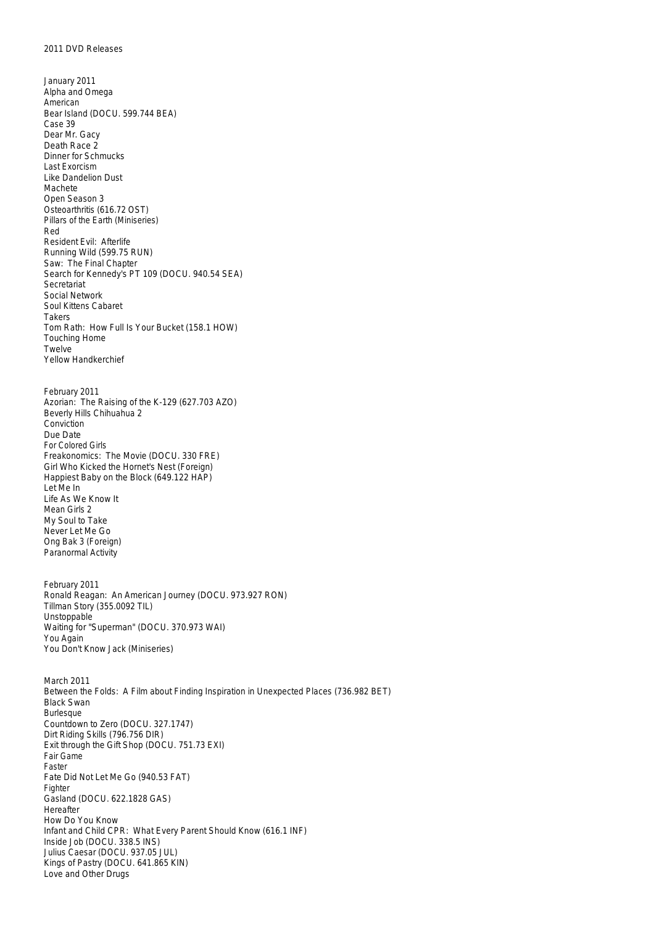- January 2011 Alpha and Omega American Bear Island (DOCU. 599.744 BEA) Case 39 Dear Mr. Gacy Death Race 2 Dinner for Schmucks Last Exorcism Like Dandelion Dust Machete Open Season 3 Osteoarthritis (616.72 OST) Pillars of the Earth (Miniseries) Red Resident Evil: Afterlife Running Wild (599.75 RUN) Saw: The Final Chapter Search for Kennedy's PT 109 (DOCU. 940.54 SEA) **Secretariat** Social Network Soul Kittens Cabaret Takers Tom Rath: How Full Is Your Bucket (158.1 HOW) Touching Home Twelve Yellow Handkerchief February 2011 Azorian: The Raising of the K-129 (627.703 AZO) Beverly Hills Chihuahua 2 Conviction Due Date For Colored Girls Freakonomics: The Movie (DOCU. 330 FRE) Girl Who Kicked the Hornet's Nest (Foreign) Happiest Baby on the Block (649.122 HAP) Let Me In Life As We Know It Mean Girls 2 My Soul to Take Never Let Me Go Ong Bak 3 (Foreign) Paranormal Activity February 2011 Ronald Reagan: An American Journey (DOCU. 973.927 RON) Tillman Story (355.0092 TIL) Unstoppable Waiting for "Superman" (DOCU. 370.973 WAI) You Again You Don't Know Jack (Miniseries) March 2011 Between the Folds: A Film about Finding Inspiration in Unexpected Places (736.982 BET) Black Swan **Burlesque** Countdown to Zero (DOCU. 327.1747) Dirt Riding Skills (796.756 DIR) Exit through the Gift Shop (DOCU. 751.73 EXI) Fair Game Faster Fate Did Not Let Me Go (940.53 FAT) Fighter Gasland (DOCU. 622.1828 GAS) Hereafter How Do You Know Infant and Child CPR: What Every Parent Should Know (616.1 INF) Inside Job (DOCU. 338.5 INS)
- Julius Caesar (DOCU. 937.05 JUL)
- Kings of Pastry (DOCU. 641.865 KIN) Love and Other Drugs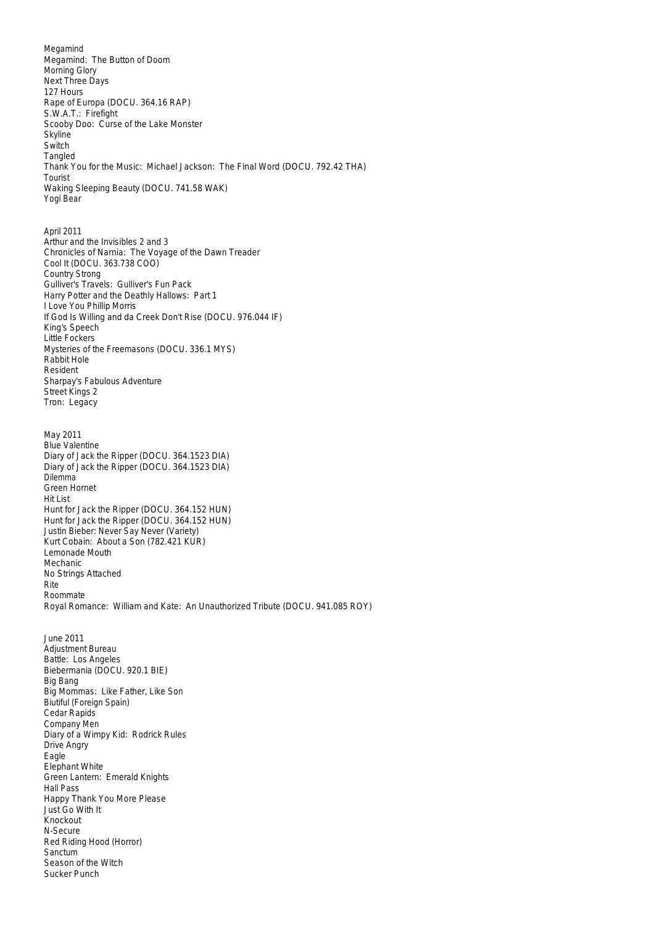Megamind Megamind: The Button of Doom Morning Glory Next Three Days 127 Hours Rape of Europa (DOCU. 364.16 RAP) S.W.A.T.: Firefight Scooby Doo: Curse of the Lake Monster Skyline **Switch** Tangled Thank You for the Music: Michael Jackson: The Final Word (DOCU. 792.42 THA) Tourist Waking Sleeping Beauty (DOCU. 741.58 WAK) Yogi Bear April 2011 Arthur and the Invisibles 2 and 3 Chronicles of Narnia: The Voyage of the Dawn Treader Cool It (DOCU. 363.738 COO) Country Strong Gulliver's Travels: Gulliver's Fun Pack Harry Potter and the Deathly Hallows: Part 1 I Love You Phillip Morris If God Is Willing and da Creek Don't Rise (DOCU. 976.044 IF) King's Speech Little Fockers Mysteries of the Freemasons (DOCU. 336.1 MYS) Rabbit Hole Resident Sharpay's Fabulous Adventure Street Kings 2 Tron: Legacy May 2011 Blue Valentine Diary of Jack the Ripper (DOCU. 364.1523 DIA) Diary of Jack the Ripper (DOCU. 364.1523 DIA) Dilemma Green Hornet Hit List Hunt for Jack the Ripper (DOCU. 364.152 HUN) Hunt for Jack the Ripper (DOCU. 364.152 HUN) Justin Bieber: Never Say Never (Variety) Kurt Cobain: About a Son (782.421 KUR) Lemonade Mouth Mechanic No Strings Attached Rite Roommate Royal Romance: William and Kate: An Unauthorized Tribute (DOCU. 941.085 ROY) June 2011 Adjustment Bureau Battle: Los Angeles Biebermania (DOCU. 920.1 BIE) Big Bang Big Mommas: Like Father, Like Son Biutiful (Foreign Spain) Cedar Rapids Company Men Diary of a Wimpy Kid: Rodrick Rules Drive Angry Eagle Elephant White Green Lantern: Emerald Knights Hall Pass Happy Thank You More Please Just Go With It Knockout N-Secure Red Riding Hood (Horror) Sanctum Season of the Witch Sucker Punch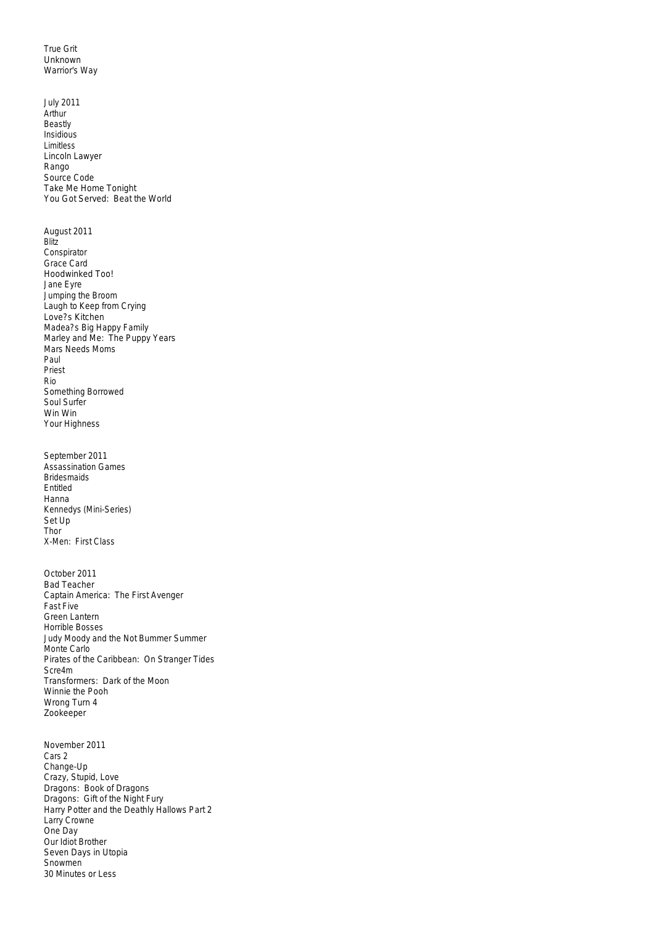True Grit Unknown Warrior's Way

July 2011 Arthur Beastly Insidious Limitless Lincoln Lawyer Rango Source Code Take Me Home Tonight You Got Served: Beat the World August 2011 Blitz Conspirator Grace Card Hoodwinked Too! Jane Eyre Jumping the Broom Laugh to Keep from Crying Love?s Kitchen Madea?s Big Happy Family Marley and Me: The Puppy Years Mars Needs Moms Paul Priest Rio Something Borrowed Soul Surfer Win Win Your Highness September 2011 Assassination Games Bridesmaids Entitled Hanna Kennedys (Mini-Series) Set Up Thor X-Men: First Class October 2011 Bad Teacher Captain America: The First Avenger Fast Five Green Lantern Horrible Bosses Judy Moody and the Not Bummer Summer Monte Carlo Pirates of the Caribbean: On Stranger Tides Scre4m Transformers: Dark of the Moon Winnie the Pooh Wrong Turn 4 Zookeeper November 2011 Cars 2 Change-Up Crazy, Stupid, Love Dragons: Book of Dragons Dragons: Gift of the Night Fury Harry Potter and the Deathly Hallows Part 2 Larry Crowne One Day Our Idiot Brother Seven Days in Utopia Snowmen<sup>®</sup>

30 Minutes or Less